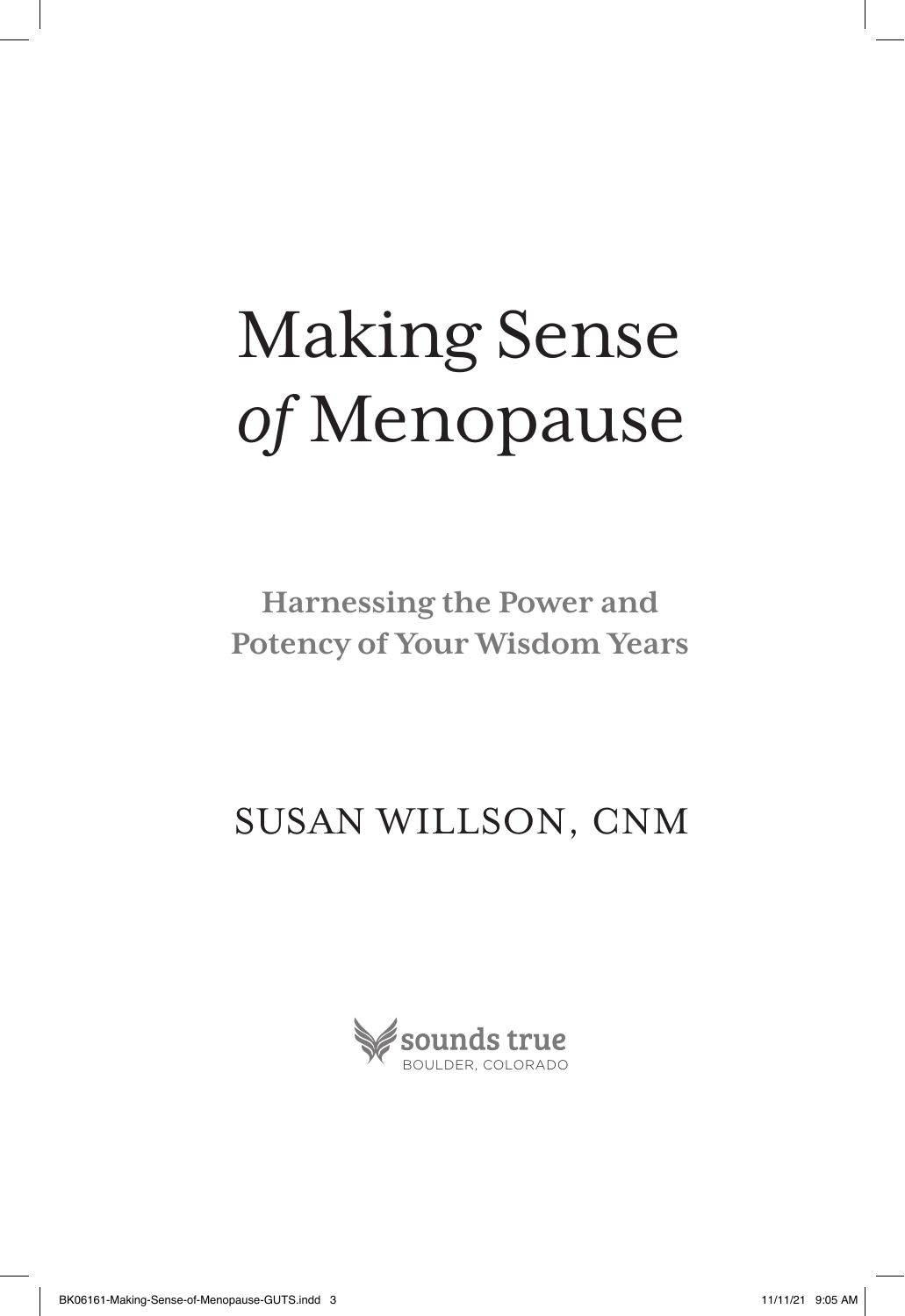# Making Sense *of* Menopause

**Harnessing the Power and Potency of Your Wisdom Years**

# SUSAN WILLSON, CNM

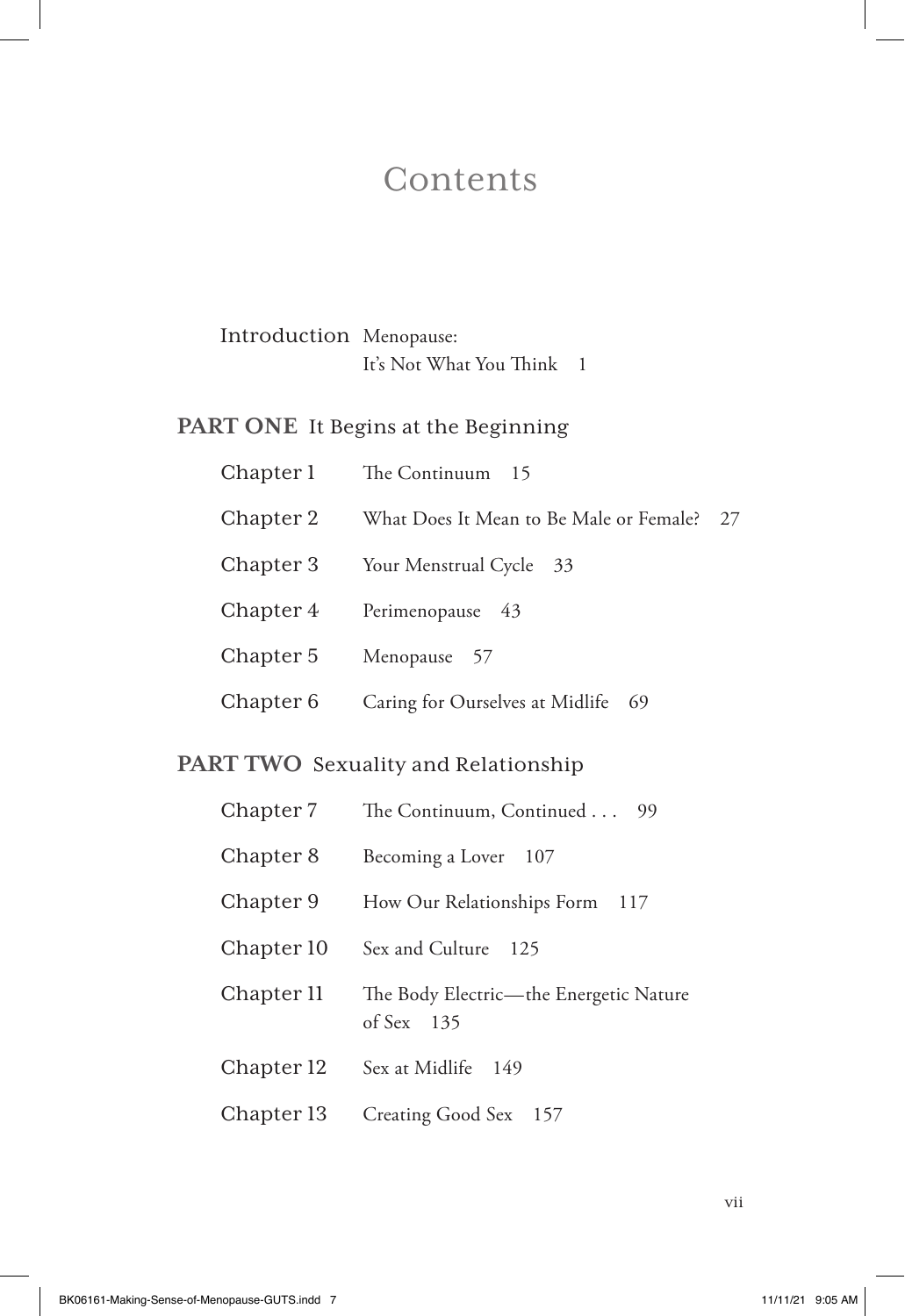## Contents

#### Introduction Menopause: It's Not What You Think 1

#### PART ONE It Begins at the Beginning

| Chapter 1 | The Continuum<br>15                     |    |
|-----------|-----------------------------------------|----|
| Chapter 2 | What Does It Mean to Be Male or Female? | 27 |
| Chapter 3 | Your Menstrual Cycle 33                 |    |
| Chapter 4 | Perimenopause 43                        |    |
| Chapter 5 | Menopause 57                            |    |
| Chapter 6 | Caring for Ourselves at Midlife 69      |    |

#### **PART TWO** Sexuality and Relationship

| Chapter 7  | The Continuum, Continued 99                               |
|------------|-----------------------------------------------------------|
| Chapter 8  | Becoming a Lover 107                                      |
| Chapter 9  | How Our Relationships Form 117                            |
| Chapter 10 | Sex and Culture<br>125                                    |
| Chapter 11 | The Body Electric—the Energetic Nature<br>of $S_{ex}$ 135 |
| Chapter 12 | Sex at Midlife<br>149                                     |
| Chapter 13 | <b>Creating Good Sex</b><br>157                           |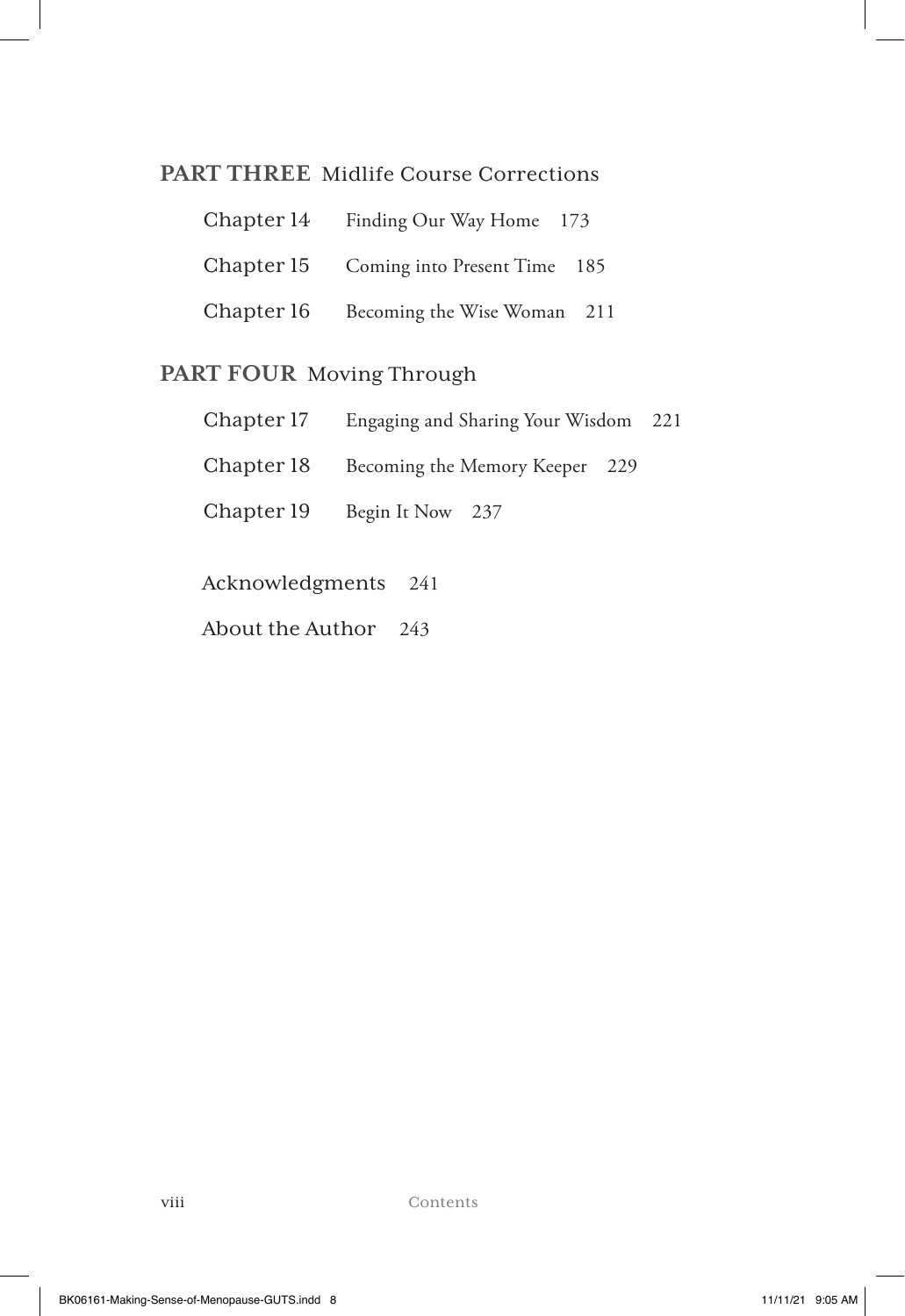#### **PART THREE** Midlife Course Corrections

| Chapter 14 | Finding Our Way Home 173                |  |
|------------|-----------------------------------------|--|
|            | Chapter 15 Coming into Present Time 185 |  |
| Chapter 16 | Becoming the Wise Woman 211             |  |

#### **PART FOUR** Moving Through

| Chapter 17             | Engaging and Sharing Your Wisdom 221 |  |
|------------------------|--------------------------------------|--|
| Chapter 18             | Becoming the Memory Keeper 229       |  |
| Chapter 19             | Begin It Now 237                     |  |
| Acknowledgments<br>241 |                                      |  |

About the Author 243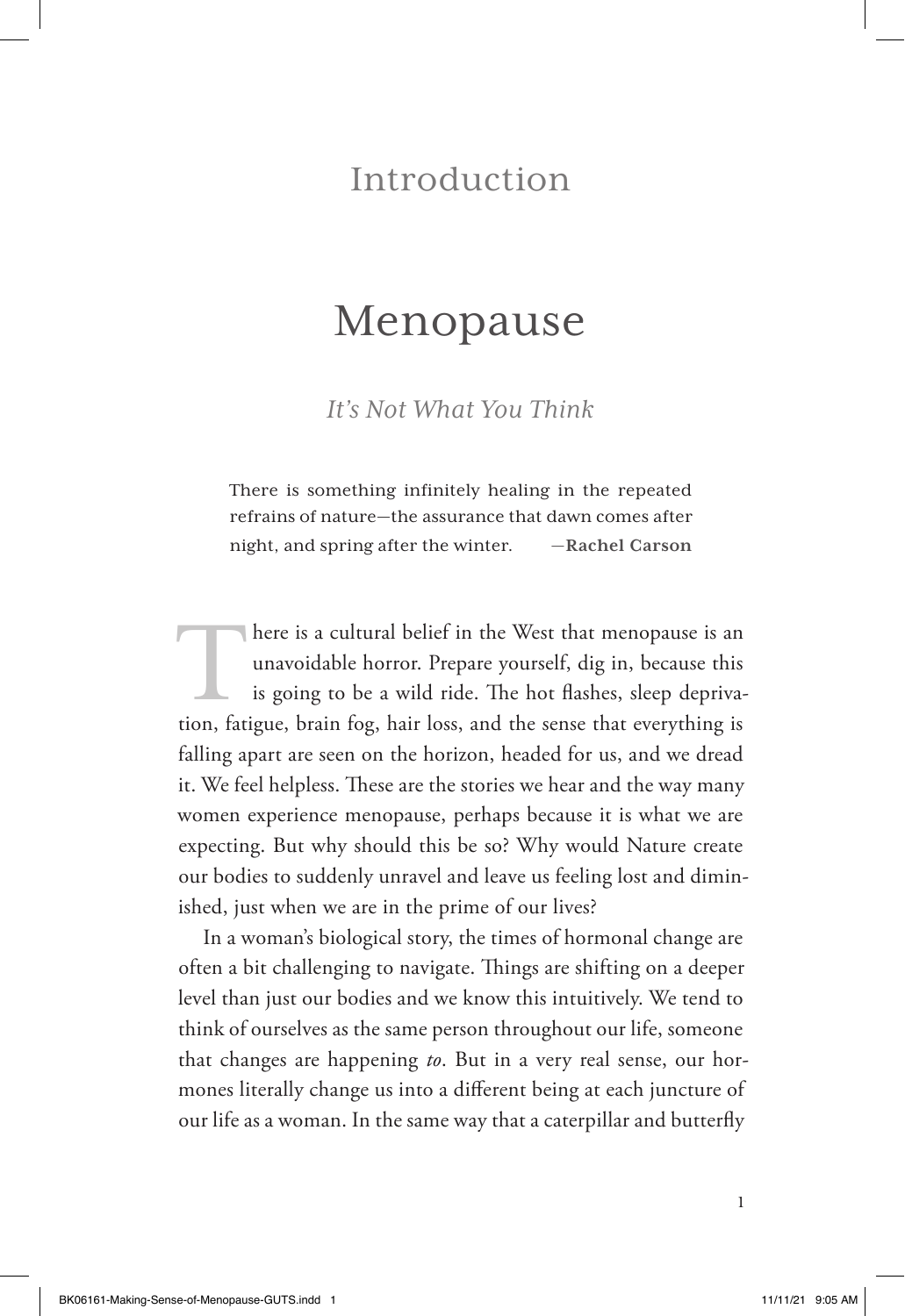### Introduction

## Menopause

*It's Not What You Think*

There is something infinitely healing in the repeated refrains of nature—the assurance that dawn comes after night, and spring after the winter. **—Rachel Carson**

here is a cultural belief in the West that menopause is an unavoidable horror. Prepare yourself, dig in, because this is going to be a wild ride. The hot flashes, sleep deprivation. fatigue, brain fog, hair loss, and the s unavoidable horror. Prepare yourself, dig in, because this is going to be a wild ride. The hot flashes, sleep deprivation, fatigue, brain fog, hair loss, and the sense that everything is falling apart are seen on the horizon, headed for us, and we dread it. We feel helpless. These are the stories we hear and the way many women experience menopause, perhaps because it is what we are expecting. But why should this be so? Why would Nature create our bodies to suddenly unravel and leave us feeling lost and diminished, just when we are in the prime of our lives?

In a woman's biological story, the times of hormonal change are often a bit challenging to navigate. Things are shifting on a deeper level than just our bodies and we know this intuitively. We tend to think of ourselves as the same person throughout our life, someone that changes are happening *to*. But in a very real sense, our hormones literally change us into a different being at each juncture of our life as a woman. In the same way that a caterpillar and butterfly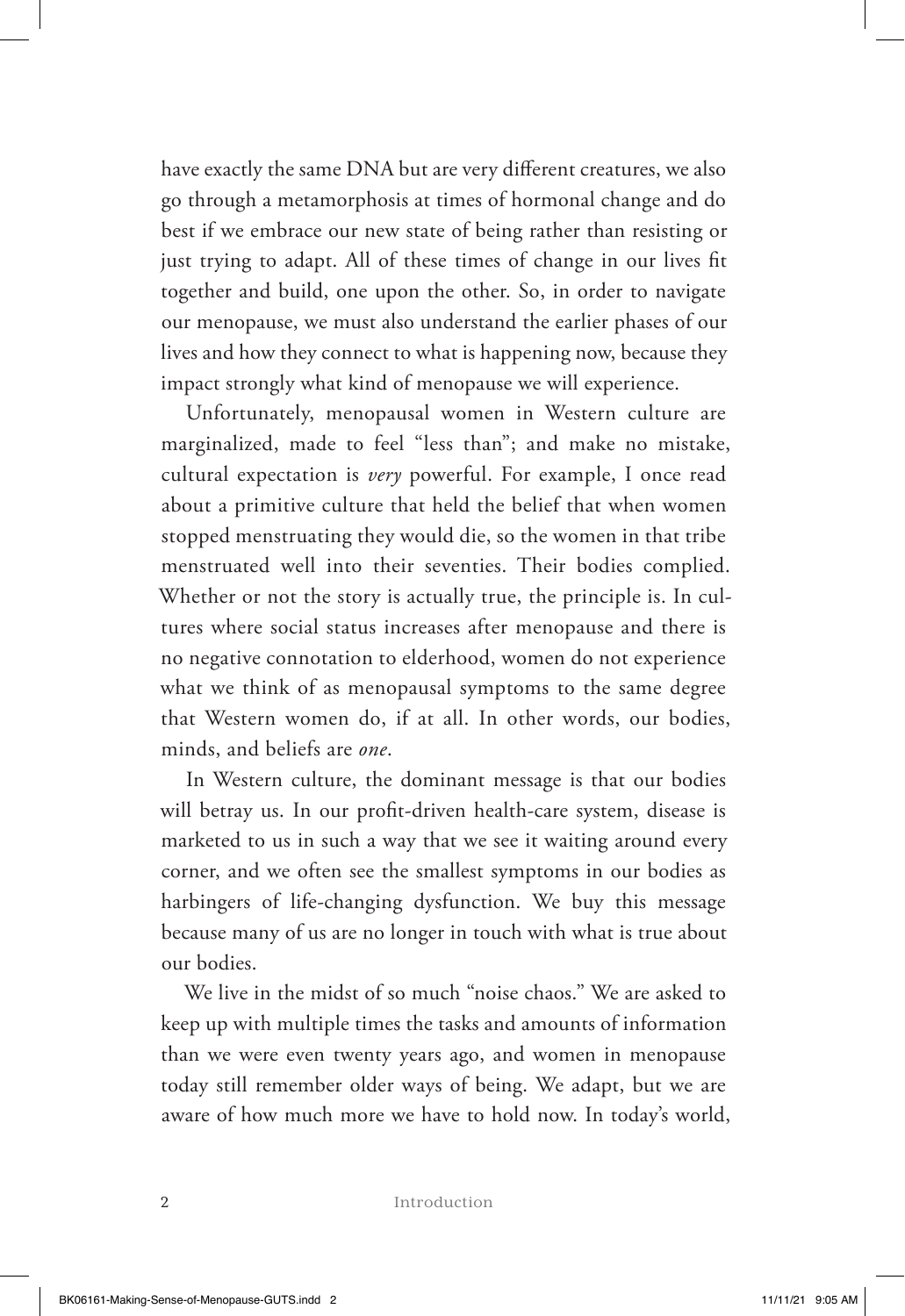have exactly the same DNA but are very different creatures, we also go through a metamorphosis at times of hormonal change and do best if we embrace our new state of being rather than resisting or just trying to adapt. All of these times of change in our lives fit together and build, one upon the other. So, in order to navigate our menopause, we must also understand the earlier phases of our lives and how they connect to what is happening now, because they impact strongly what kind of menopause we will experience.

Unfortunately, menopausal women in Western culture are marginalized, made to feel "less than"; and make no mistake, cultural expectation is *very* powerful. For example, I once read about a primitive culture that held the belief that when women stopped menstruating they would die, so the women in that tribe menstruated well into their seventies. Their bodies complied. Whether or not the story is actually true, the principle is. In cultures where social status increases after menopause and there is no negative connotation to elderhood, women do not experience what we think of as menopausal symptoms to the same degree that Western women do, if at all. In other words, our bodies, minds, and beliefs are *one*.

In Western culture, the dominant message is that our bodies will betray us. In our profit-driven health-care system, disease is marketed to us in such a way that we see it waiting around every corner, and we often see the smallest symptoms in our bodies as harbingers of life-changing dysfunction. We buy this message because many of us are no longer in touch with what is true about our bodies.

We live in the midst of so much "noise chaos." We are asked to keep up with multiple times the tasks and amounts of information than we were even twenty years ago, and women in menopause today still remember older ways of being. We adapt, but we are aware of how much more we have to hold now. In today's world,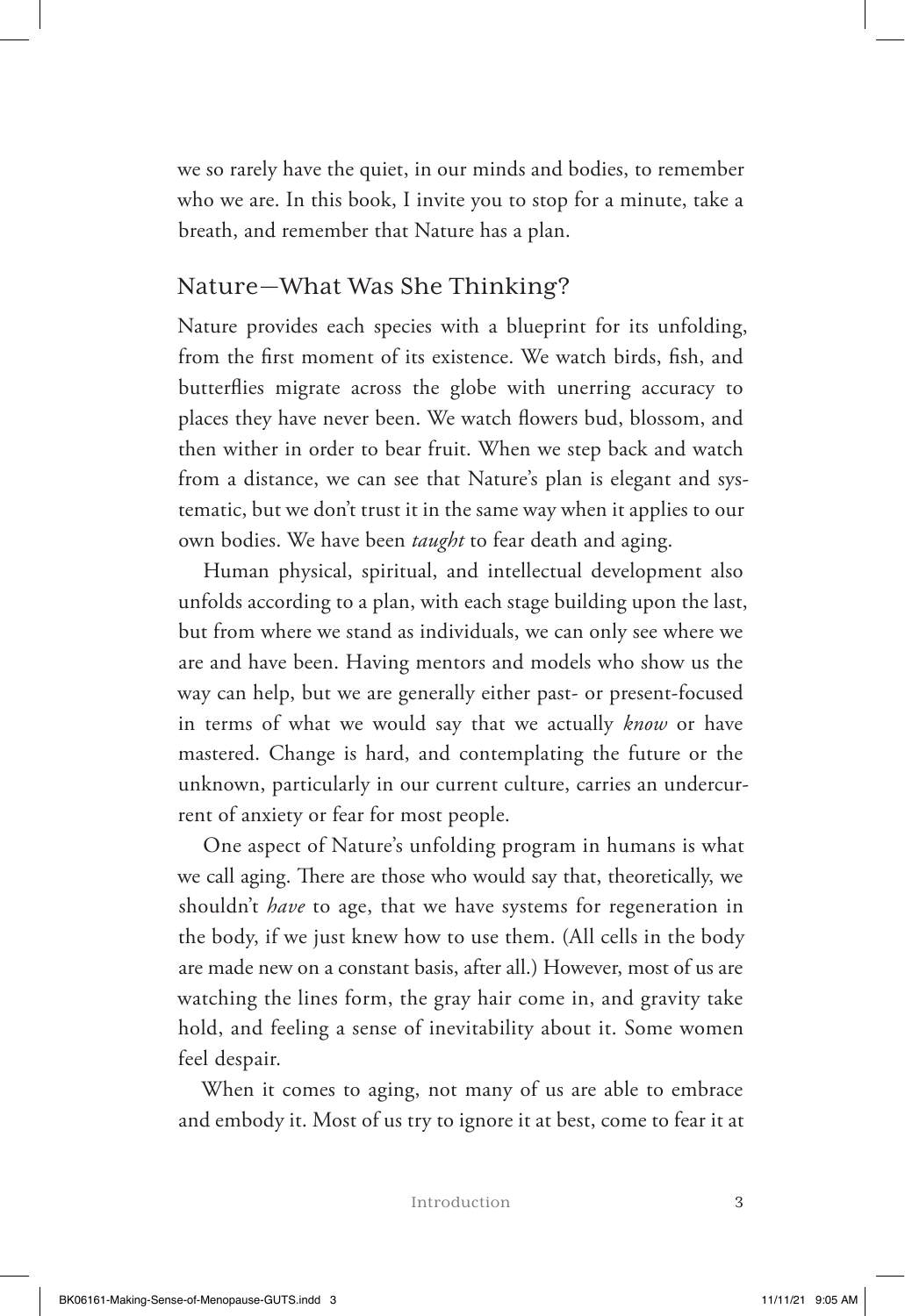we so rarely have the quiet, in our minds and bodies, to remember who we are. In this book, I invite you to stop for a minute, take a breath, and remember that Nature has a plan.

#### Nature—What Was She Thinking?

Nature provides each species with a blueprint for its unfolding, from the first moment of its existence. We watch birds, fish, and butterflies migrate across the globe with unerring accuracy to places they have never been. We watch flowers bud, blossom, and then wither in order to bear fruit. When we step back and watch from a distance, we can see that Nature's plan is elegant and systematic, but we don't trust it in the same way when it applies to our own bodies. We have been *taught* to fear death and aging.

Human physical, spiritual, and intellectual development also unfolds according to a plan, with each stage building upon the last, but from where we stand as individuals, we can only see where we are and have been. Having mentors and models who show us the way can help, but we are generally either past- or present-focused in terms of what we would say that we actually *know* or have mastered. Change is hard, and contemplating the future or the unknown, particularly in our current culture, carries an undercurrent of anxiety or fear for most people.

One aspect of Nature's unfolding program in humans is what we call aging. There are those who would say that, theoretically, we shouldn't *have* to age, that we have systems for regeneration in the body, if we just knew how to use them. (All cells in the body are made new on a constant basis, after all.) However, most of us are watching the lines form, the gray hair come in, and gravity take hold, and feeling a sense of inevitability about it. Some women feel despair.

When it comes to aging, not many of us are able to embrace and embody it. Most of us try to ignore it at best, come to fear it at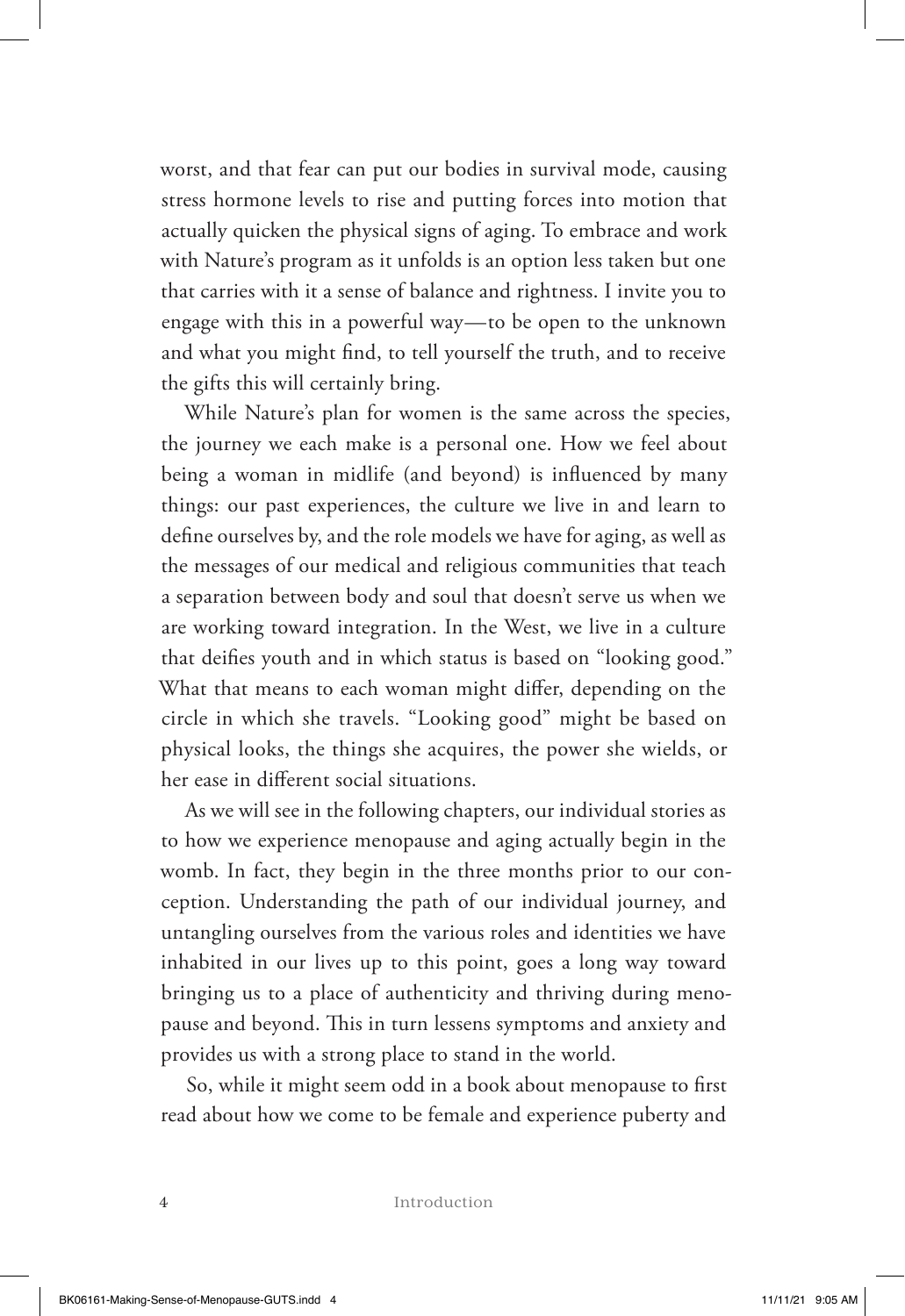worst, and that fear can put our bodies in survival mode, causing stress hormone levels to rise and putting forces into motion that actually quicken the physical signs of aging. To embrace and work with Nature's program as it unfolds is an option less taken but one that carries with it a sense of balance and rightness. I invite you to engage with this in a powerful way—to be open to the unknown and what you might find, to tell yourself the truth, and to receive the gifts this will certainly bring.

While Nature's plan for women is the same across the species, the journey we each make is a personal one. How we feel about being a woman in midlife (and beyond) is influenced by many things: our past experiences, the culture we live in and learn to define ourselves by, and the role models we have for aging, as well as the messages of our medical and religious communities that teach a separation between body and soul that doesn't serve us when we are working toward integration. In the West, we live in a culture that deifies youth and in which status is based on "looking good." What that means to each woman might differ, depending on the circle in which she travels. "Looking good" might be based on physical looks, the things she acquires, the power she wields, or her ease in different social situations.

As we will see in the following chapters, our individual stories as to how we experience menopause and aging actually begin in the womb. In fact, they begin in the three months prior to our conception. Understanding the path of our individual journey, and untangling ourselves from the various roles and identities we have inhabited in our lives up to this point, goes a long way toward bringing us to a place of authenticity and thriving during menopause and beyond. This in turn lessens symptoms and anxiety and provides us with a strong place to stand in the world.

So, while it might seem odd in a book about menopause to first read about how we come to be female and experience puberty and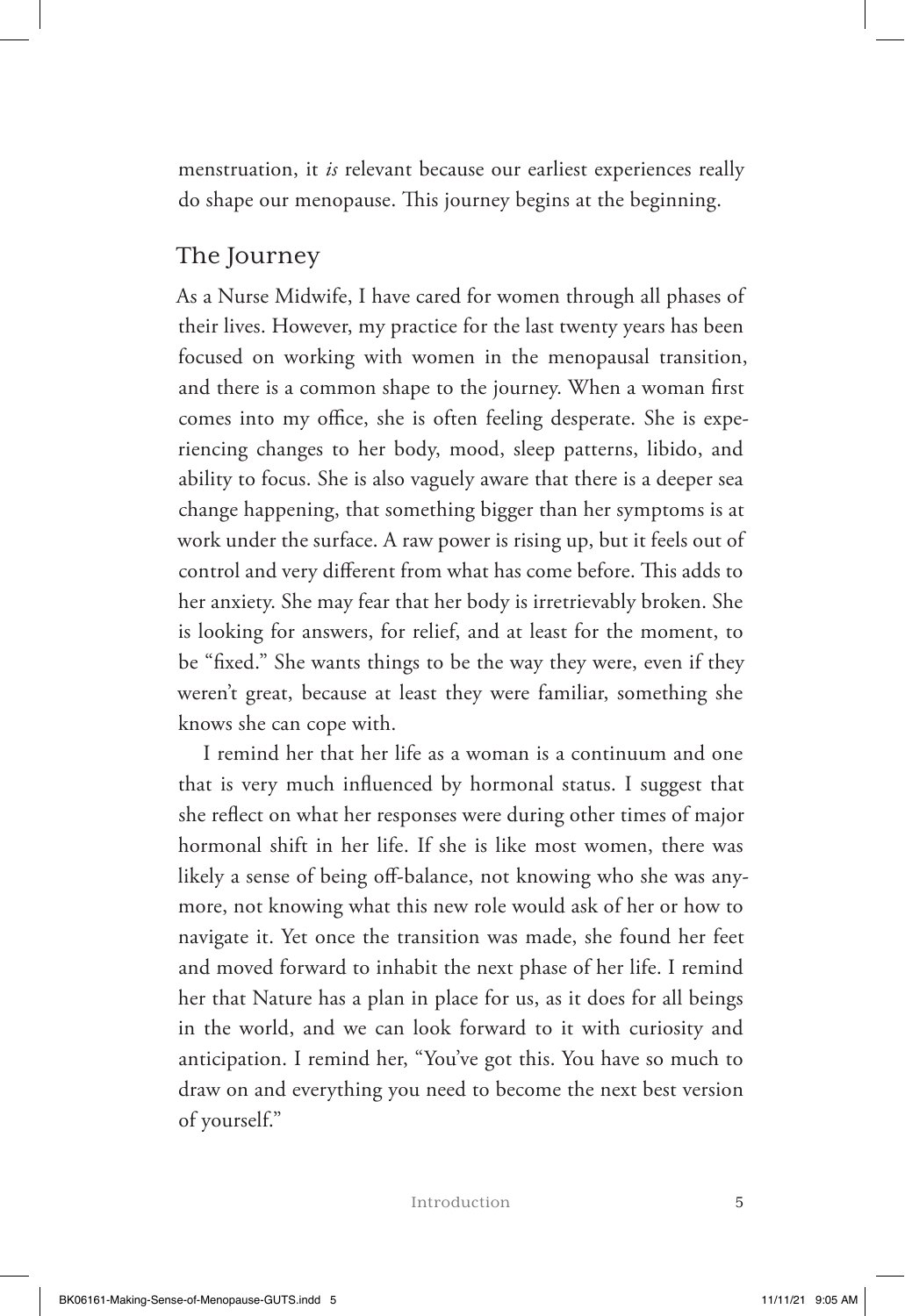menstruation, it *is* relevant because our earliest experiences really do shape our menopause. This journey begins at the beginning.

#### The Journey

As a Nurse Midwife, I have cared for women through all phases of their lives. However, my practice for the last twenty years has been focused on working with women in the menopausal transition, and there is a common shape to the journey. When a woman first comes into my office, she is often feeling desperate. She is experiencing changes to her body, mood, sleep patterns, libido, and ability to focus. She is also vaguely aware that there is a deeper sea change happening, that something bigger than her symptoms is at work under the surface. A raw power is rising up, but it feels out of control and very different from what has come before. This adds to her anxiety. She may fear that her body is irretrievably broken. She is looking for answers, for relief, and at least for the moment, to be "fixed." She wants things to be the way they were, even if they weren't great, because at least they were familiar, something she knows she can cope with.

I remind her that her life as a woman is a continuum and one that is very much influenced by hormonal status. I suggest that she reflect on what her responses were during other times of major hormonal shift in her life. If she is like most women, there was likely a sense of being off-balance, not knowing who she was anymore, not knowing what this new role would ask of her or how to navigate it. Yet once the transition was made, she found her feet and moved forward to inhabit the next phase of her life. I remind her that Nature has a plan in place for us, as it does for all beings in the world, and we can look forward to it with curiosity and anticipation. I remind her, "You've got this. You have so much to draw on and everything you need to become the next best version of yourself."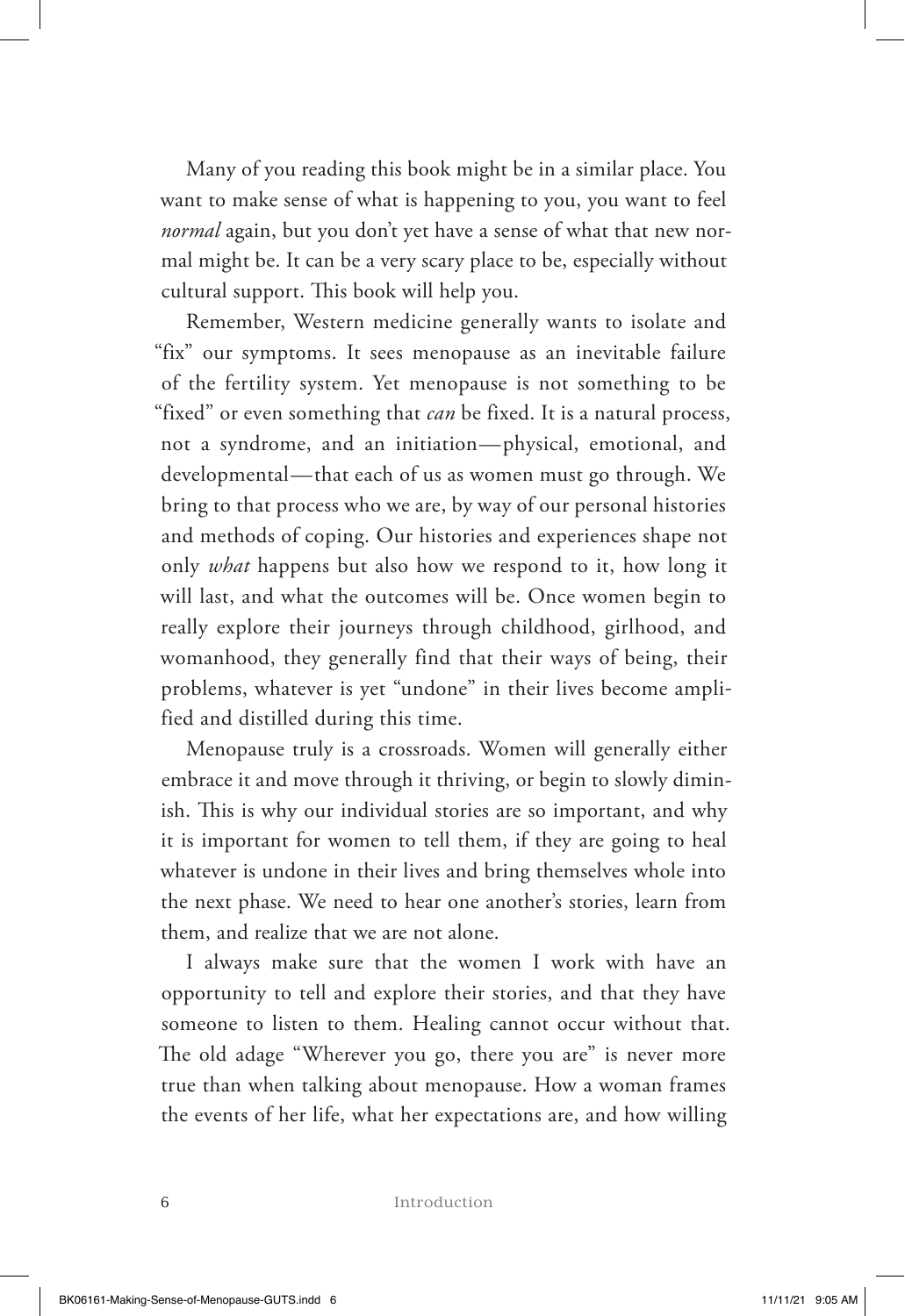Many of you reading this book might be in a similar place. You want to make sense of what is happening to you, you want to feel *normal* again, but you don't yet have a sense of what that new normal might be. It can be a very scary place to be, especially without cultural support. This book will help you.

Remember, Western medicine generally wants to isolate and "fix" our symptoms. It sees menopause as an inevitable failure of the fertility system. Yet menopause is not something to be "fixed" or even something that *can* be fixed. It is a natural process, not a syndrome, and an initiation—physical, emotional, and developmental—that each of us as women must go through. We bring to that process who we are, by way of our personal histories and methods of coping. Our histories and experiences shape not only *what* happens but also how we respond to it, how long it will last, and what the outcomes will be. Once women begin to really explore their journeys through childhood, girlhood, and womanhood, they generally find that their ways of being, their problems, whatever is yet "undone" in their lives become amplified and distilled during this time.

Menopause truly is a crossroads. Women will generally either embrace it and move through it thriving, or begin to slowly diminish. This is why our individual stories are so important, and why it is important for women to tell them, if they are going to heal whatever is undone in their lives and bring themselves whole into the next phase. We need to hear one another's stories, learn from them, and realize that we are not alone.

I always make sure that the women I work with have an opportunity to tell and explore their stories, and that they have someone to listen to them. Healing cannot occur without that. The old adage "Wherever you go, there you are" is never more true than when talking about menopause. How a woman frames the events of her life, what her expectations are, and how willing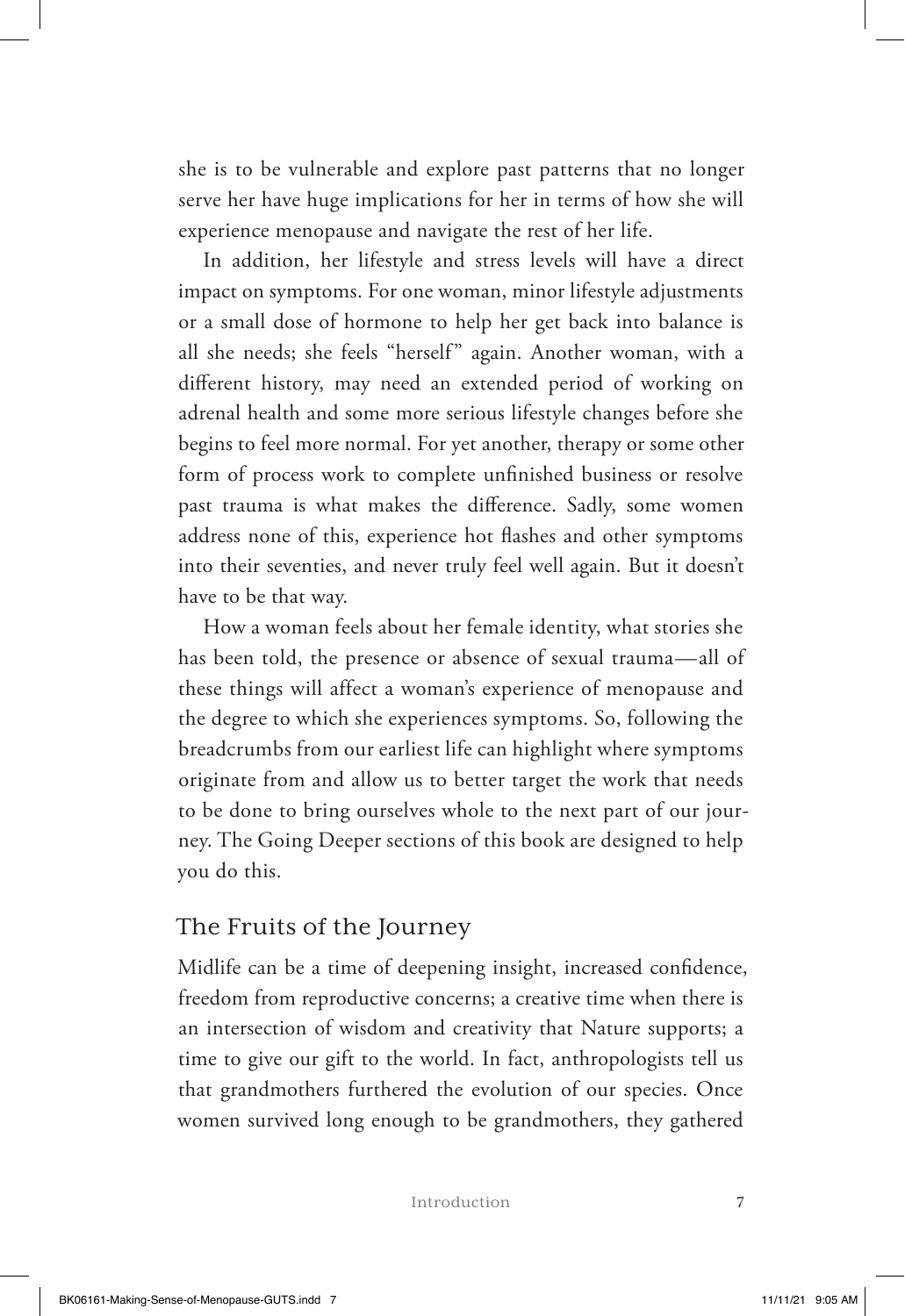she is to be vulnerable and explore past patterns that no longer serve her have huge implications for her in terms of how she will experience menopause and navigate the rest of her life.

In addition, her lifestyle and stress levels will have a direct impact on symptoms. For one woman, minor lifestyle adjustments or a small dose of hormone to help her get back into balance is all she needs; she feels "herself" again. Another woman, with a different history, may need an extended period of working on adrenal health and some more serious lifestyle changes before she begins to feel more normal. For yet another, therapy or some other form of process work to complete unfinished business or resolve past trauma is what makes the difference. Sadly, some women address none of this, experience hot flashes and other symptoms into their seventies, and never truly feel well again. But it doesn't have to be that way.

How a woman feels about her female identity, what stories she has been told, the presence or absence of sexual trauma—all of these things will affect a woman's experience of menopause and the degree to which she experiences symptoms. So, following the breadcrumbs from our earliest life can highlight where symptoms originate from and allow us to better target the work that needs to be done to bring ourselves whole to the next part of our journey. The Going Deeper sections of this book are designed to help you do this.

#### The Fruits of the Journey

Midlife can be a time of deepening insight, increased confidence, freedom from reproductive concerns; a creative time when there is an intersection of wisdom and creativity that Nature supports; a time to give our gift to the world. In fact, anthropologists tell us that grandmothers furthered the evolution of our species. Once women survived long enough to be grandmothers, they gathered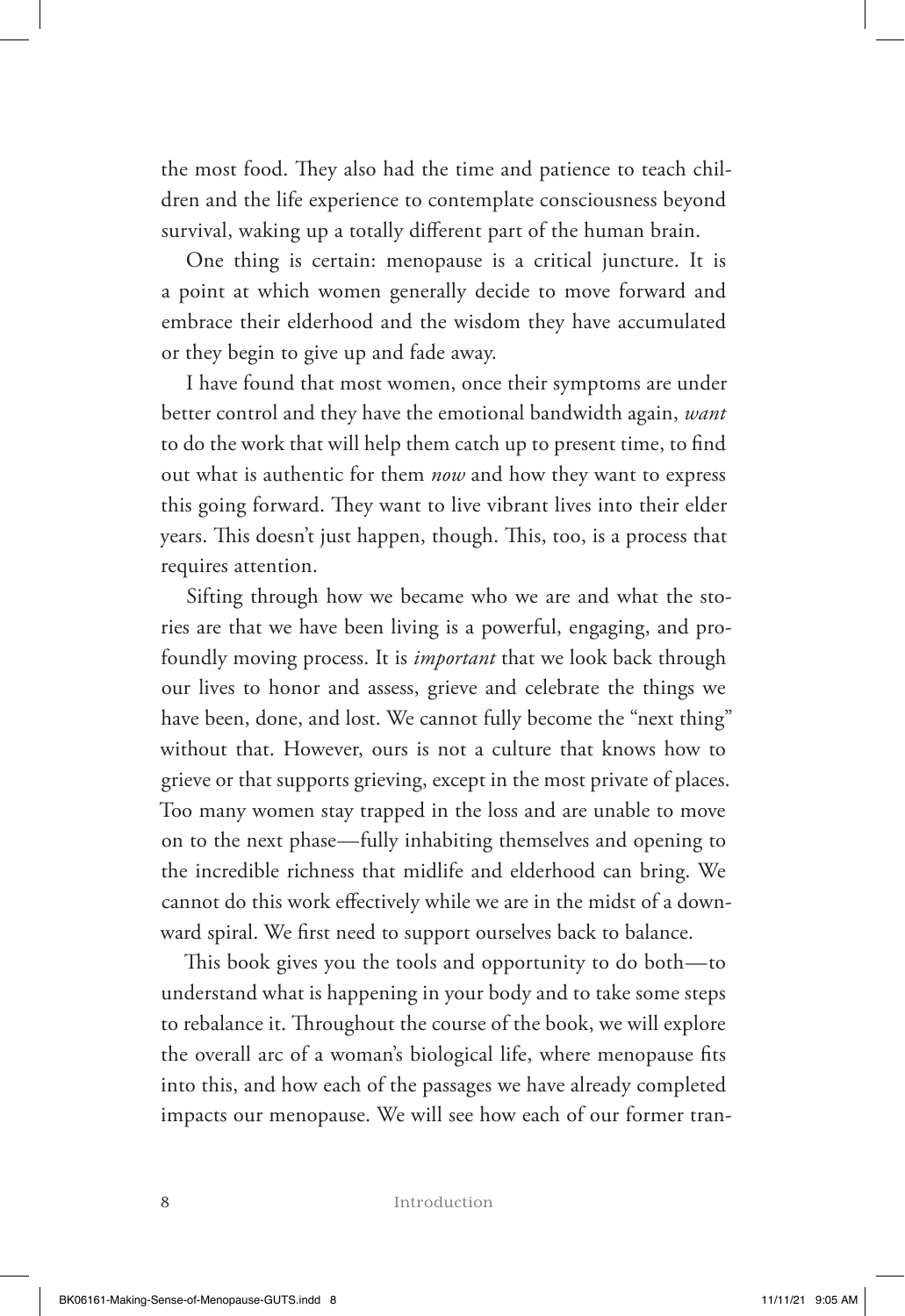the most food. They also had the time and patience to teach children and the life experience to contemplate consciousness beyond survival, waking up a totally different part of the human brain.

One thing is certain: menopause is a critical juncture. It is a point at which women generally decide to move forward and embrace their elderhood and the wisdom they have accumulated or they begin to give up and fade away.

I have found that most women, once their symptoms are under better control and they have the emotional bandwidth again, *want* to do the work that will help them catch up to present time, to find out what is authentic for them *now* and how they want to express this going forward. They want to live vibrant lives into their elder years. This doesn't just happen, though. This, too, is a process that requires attention.

Sifting through how we became who we are and what the stories are that we have been living is a powerful, engaging, and profoundly moving process. It is *important* that we look back through our lives to honor and assess, grieve and celebrate the things we have been, done, and lost. We cannot fully become the "next thing" without that. However, ours is not a culture that knows how to grieve or that supports grieving, except in the most private of places. Too many women stay trapped in the loss and are unable to move on to the next phase—fully inhabiting themselves and opening to the incredible richness that midlife and elderhood can bring. We cannot do this work effectively while we are in the midst of a downward spiral. We first need to support ourselves back to balance.

This book gives you the tools and opportunity to do both—to understand what is happening in your body and to take some steps to rebalance it. Throughout the course of the book, we will explore the overall arc of a woman's biological life, where menopause fits into this, and how each of the passages we have already completed impacts our menopause. We will see how each of our former tran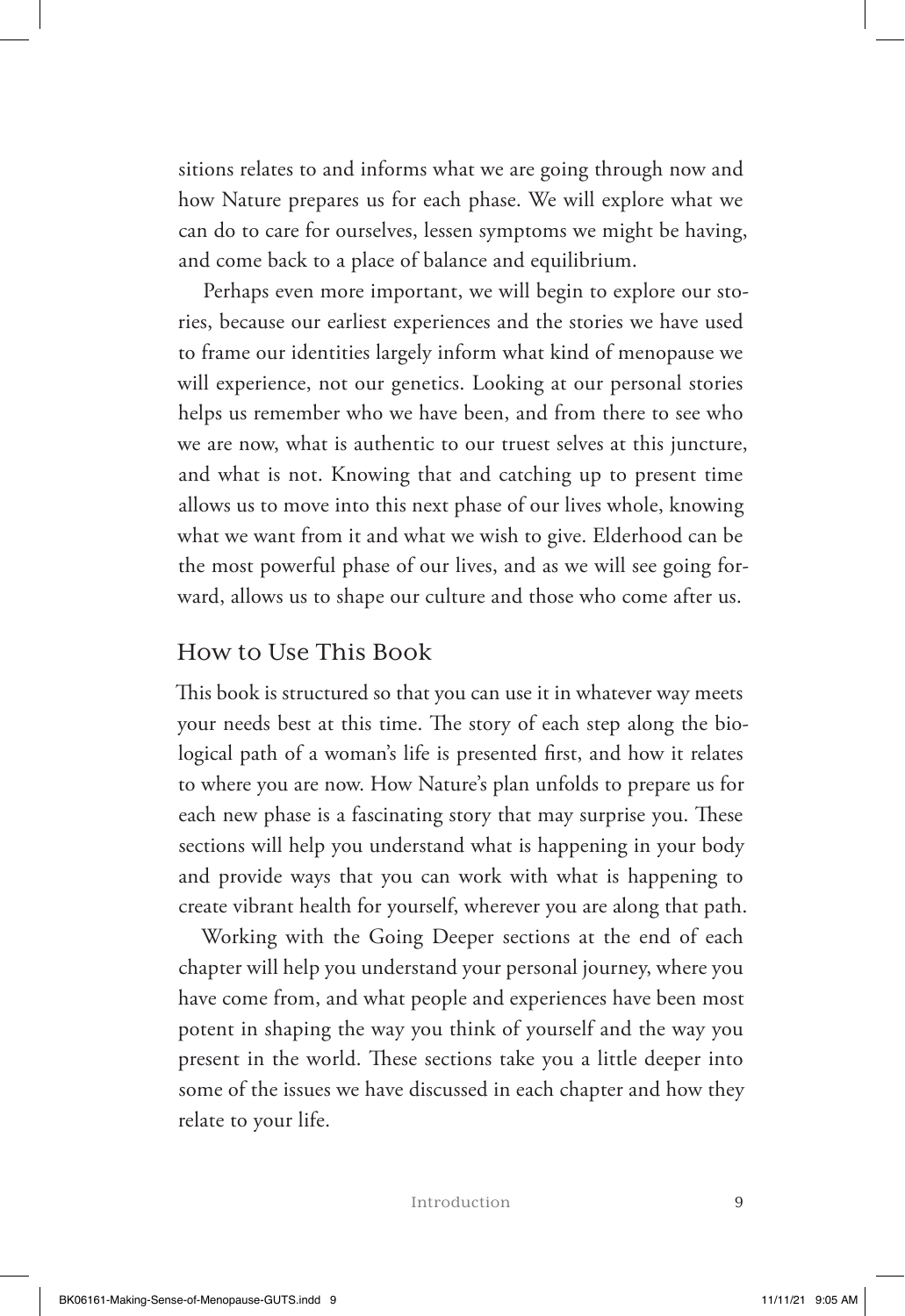sitions relates to and informs what we are going through now and how Nature prepares us for each phase. We will explore what we can do to care for ourselves, lessen symptoms we might be having, and come back to a place of balance and equilibrium.

Perhaps even more important, we will begin to explore our stories, because our earliest experiences and the stories we have used to frame our identities largely inform what kind of menopause we will experience, not our genetics. Looking at our personal stories helps us remember who we have been, and from there to see who we are now, what is authentic to our truest selves at this juncture, and what is not. Knowing that and catching up to present time allows us to move into this next phase of our lives whole, knowing what we want from it and what we wish to give. Elderhood can be the most powerful phase of our lives, and as we will see going forward, allows us to shape our culture and those who come after us.

#### How to Use This Book

This book is structured so that you can use it in whatever way meets your needs best at this time. The story of each step along the biological path of a woman's life is presented first, and how it relates to where you are now. How Nature's plan unfolds to prepare us for each new phase is a fascinating story that may surprise you. These sections will help you understand what is happening in your body and provide ways that you can work with what is happening to create vibrant health for yourself, wherever you are along that path.

Working with the Going Deeper sections at the end of each chapter will help you understand your personal journey, where you have come from, and what people and experiences have been most potent in shaping the way you think of yourself and the way you present in the world. These sections take you a little deeper into some of the issues we have discussed in each chapter and how they relate to your life.